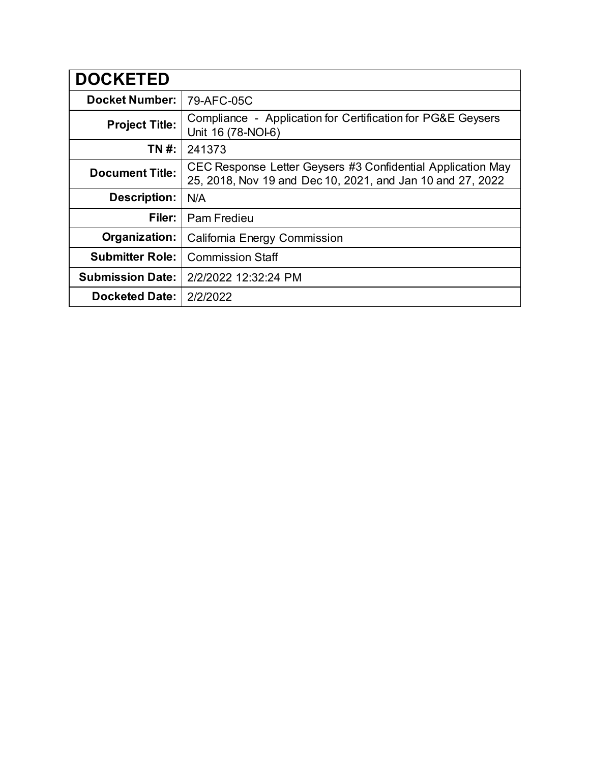| <b>DOCKETED</b>         |                                                                                                                           |
|-------------------------|---------------------------------------------------------------------------------------------------------------------------|
| <b>Docket Number:</b>   | 79-AFC-05C                                                                                                                |
| <b>Project Title:</b>   | Compliance - Application for Certification for PG&E Geysers<br>Unit 16 (78-NOI-6)                                         |
| TN #:                   | 241373                                                                                                                    |
| <b>Document Title:</b>  | CEC Response Letter Geysers #3 Confidential Application May<br>25, 2018, Nov 19 and Dec 10, 2021, and Jan 10 and 27, 2022 |
| <b>Description:</b>     | N/A                                                                                                                       |
| Filer:                  | Pam Fredieu                                                                                                               |
| Organization:           | California Energy Commission                                                                                              |
| <b>Submitter Role:</b>  | <b>Commission Staff</b>                                                                                                   |
| <b>Submission Date:</b> | 2/2/2022 12:32:24 PM                                                                                                      |
| <b>Docketed Date:</b>   | 2/2/2022                                                                                                                  |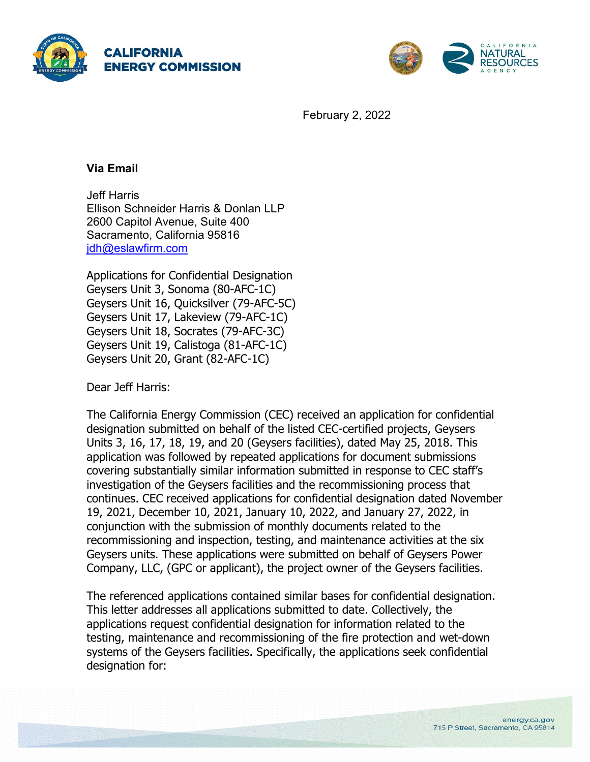



February 2, 2022

#### **Via Email**

Jeff Harris Ellison Schneider Harris & Donlan LLP 2600 Capitol Avenue, Suite 400 Sacramento, California 95816 [jdh@eslawfirm.com](mailto:jdh@eslawfirm.com)

Applications for Confidential Designation Geysers Unit 3, Sonoma (80-AFC-1C) Geysers Unit 16, Quicksilver (79-AFC-5C) Geysers Unit 17, Lakeview (79-AFC-1C) Geysers Unit 18, Socrates (79-AFC-3C) Geysers Unit 19, Calistoga (81-AFC-1C) Geysers Unit 20, Grant (82-AFC-1C)

Dear Jeff Harris:

The California Energy Commission (CEC) received an application for confidential designation submitted on behalf of the listed CEC-certified projects, Geysers Units 3, 16, 17, 18, 19, and 20 (Geysers facilities), dated May 25, 2018. This application was followed by repeated applications for document submissions covering substantially similar information submitted in response to CEC staff's investigation of the Geysers facilities and the recommissioning process that continues. CEC received applications for confidential designation dated November 19, 2021, December 10, 2021, January 10, 2022, and January 27, 2022, in conjunction with the submission of monthly documents related to the recommissioning and inspection, testing, and maintenance activities at the six Geysers units. These applications were submitted on behalf of Geysers Power Company, LLC, (GPC or applicant), the project owner of the Geysers facilities.

The referenced applications contained similar bases for confidential designation. This letter addresses all applications submitted to date. Collectively, the applications request confidential designation for information related to the testing, maintenance and recommissioning of the fire protection and wet-down systems of the Geysers facilities. Specifically, the applications seek confidential designation for: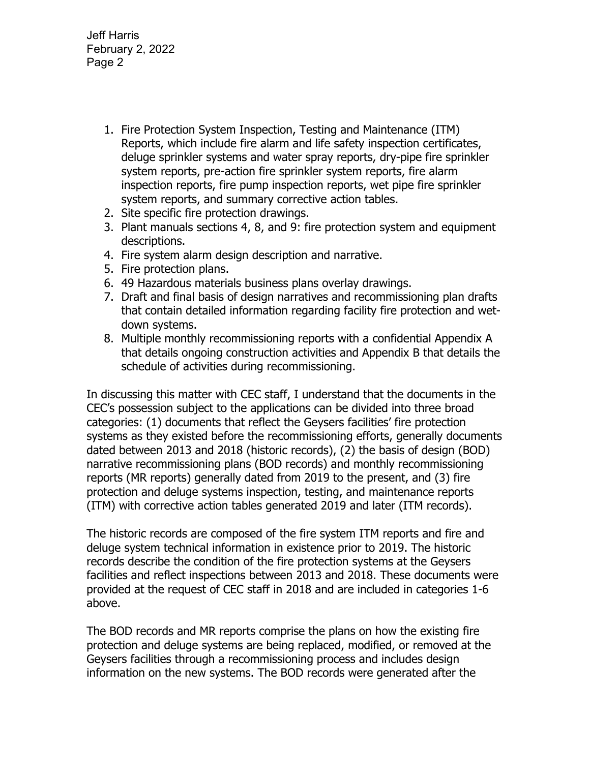- 1. Fire Protection System Inspection, Testing and Maintenance (ITM) Reports, which include fire alarm and life safety inspection certificates, deluge sprinkler systems and water spray reports, dry-pipe fire sprinkler system reports, pre-action fire sprinkler system reports, fire alarm inspection reports, fire pump inspection reports, wet pipe fire sprinkler system reports, and summary corrective action tables.
- 2. Site specific fire protection drawings.
- 3. Plant manuals sections 4, 8, and 9: fire protection system and equipment descriptions.
- 4. Fire system alarm design description and narrative.
- 5. Fire protection plans.
- 6. 49 Hazardous materials business plans overlay drawings.
- 7. Draft and final basis of design narratives and recommissioning plan drafts that contain detailed information regarding facility fire protection and wetdown systems.
- 8. Multiple monthly recommissioning reports with a confidential Appendix A that details ongoing construction activities and Appendix B that details the schedule of activities during recommissioning.

In discussing this matter with CEC staff, I understand that the documents in the CEC's possession subject to the applications can be divided into three broad categories: (1) documents that reflect the Geysers facilities' fire protection systems as they existed before the recommissioning efforts, generally documents dated between 2013 and 2018 (historic records), (2) the basis of design (BOD) narrative recommissioning plans (BOD records) and monthly recommissioning reports (MR reports) generally dated from 2019 to the present, and (3) fire protection and deluge systems inspection, testing, and maintenance reports (ITM) with corrective action tables generated 2019 and later (ITM records).

The historic records are composed of the fire system ITM reports and fire and deluge system technical information in existence prior to 2019. The historic records describe the condition of the fire protection systems at the Geysers facilities and reflect inspections between 2013 and 2018. These documents were provided at the request of CEC staff in 2018 and are included in categories 1-6 above.

The BOD records and MR reports comprise the plans on how the existing fire protection and deluge systems are being replaced, modified, or removed at the Geysers facilities through a recommissioning process and includes design information on the new systems. The BOD records were generated after the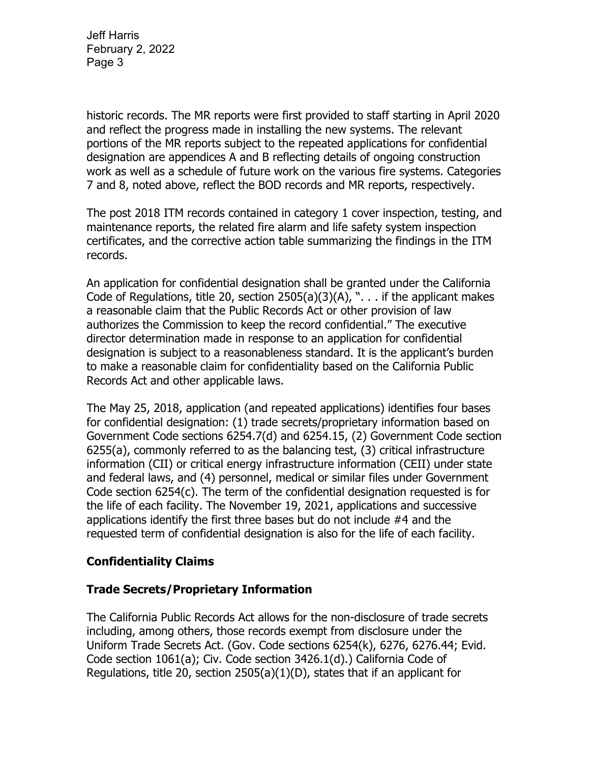historic records. The MR reports were first provided to staff starting in April 2020 and reflect the progress made in installing the new systems. The relevant portions of the MR reports subject to the repeated applications for confidential designation are appendices A and B reflecting details of ongoing construction work as well as a schedule of future work on the various fire systems. Categories 7 and 8, noted above, reflect the BOD records and MR reports, respectively.

The post 2018 ITM records contained in category 1 cover inspection, testing, and maintenance reports, the related fire alarm and life safety system inspection certificates, and the corrective action table summarizing the findings in the ITM records.

An application for confidential designation shall be granted under the California Code of Regulations, title 20, section  $2505(a)(3)(A)$ , "... if the applicant makes a reasonable claim that the Public Records Act or other provision of law authorizes the Commission to keep the record confidential." The executive director determination made in response to an application for confidential designation is subject to a reasonableness standard. It is the applicant's burden to make a reasonable claim for confidentiality based on the California Public Records Act and other applicable laws.

The May 25, 2018, application (and repeated applications) identifies four bases for confidential designation: (1) trade secrets/proprietary information based on Government Code sections 6254.7(d) and 6254.15, (2) Government Code section 6255(a), commonly referred to as the balancing test, (3) critical infrastructure information (CII) or critical energy infrastructure information (CEII) under state and federal laws, and (4) personnel, medical or similar files under Government Code section 6254(c). The term of the confidential designation requested is for the life of each facility. The November 19, 2021, applications and successive applications identify the first three bases but do not include #4 and the requested term of confidential designation is also for the life of each facility.

# **Confidentiality Claims**

#### **Trade Secrets/Proprietary Information**

The California Public Records Act allows for the non-disclosure of trade secrets including, among others, those records exempt from disclosure under the Uniform Trade Secrets Act. (Gov. Code sections 6254(k), 6276, 6276.44; Evid. Code section 1061(a); Civ. Code section 3426.1(d).) California Code of Regulations, title 20, section 2505(a)(1)(D), states that if an applicant for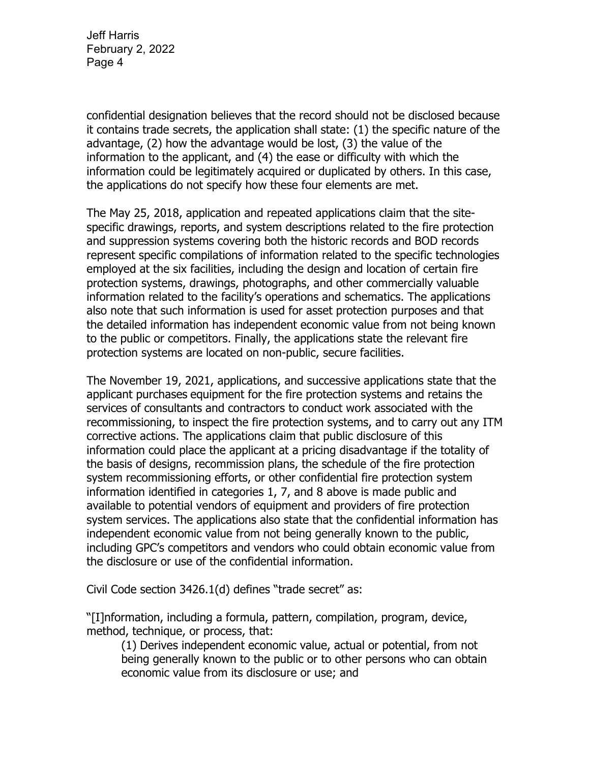confidential designation believes that the record should not be disclosed because it contains trade secrets, the application shall state: (1) the specific nature of the advantage, (2) how the advantage would be lost, (3) the value of the information to the applicant, and (4) the ease or difficulty with which the information could be legitimately acquired or duplicated by others. In this case, the applications do not specify how these four elements are met.

The May 25, 2018, application and repeated applications claim that the sitespecific drawings, reports, and system descriptions related to the fire protection and suppression systems covering both the historic records and BOD records represent specific compilations of information related to the specific technologies employed at the six facilities, including the design and location of certain fire protection systems, drawings, photographs, and other commercially valuable information related to the facility's operations and schematics. The applications also note that such information is used for asset protection purposes and that the detailed information has independent economic value from not being known to the public or competitors. Finally, the applications state the relevant fire protection systems are located on non-public, secure facilities.

The November 19, 2021, applications, and successive applications state that the applicant purchases equipment for the fire protection systems and retains the services of consultants and contractors to conduct work associated with the recommissioning, to inspect the fire protection systems, and to carry out any ITM corrective actions. The applications claim that public disclosure of this information could place the applicant at a pricing disadvantage if the totality of the basis of designs, recommission plans, the schedule of the fire protection system recommissioning efforts, or other confidential fire protection system information identified in categories 1, 7, and 8 above is made public and available to potential vendors of equipment and providers of fire protection system services. The applications also state that the confidential information has independent economic value from not being generally known to the public, including GPC's competitors and vendors who could obtain economic value from the disclosure or use of the confidential information.

Civil Code section 3426.1(d) defines "trade secret" as:

"[I]nformation, including a formula, pattern, compilation, program, device, method, technique, or process, that:

(1) Derives independent economic value, actual or potential, from not being generally known to the public or to other persons who can obtain economic value from its disclosure or use; and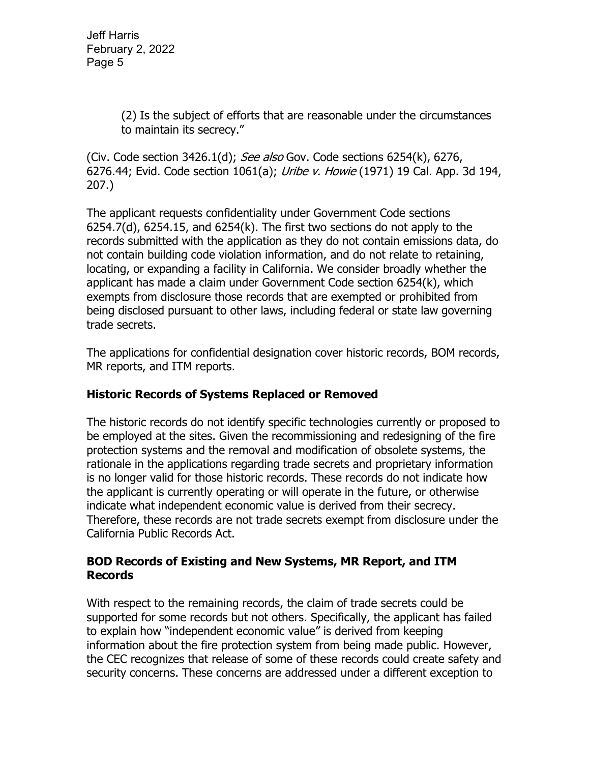> (2) Is the subject of efforts that are reasonable under the circumstances to maintain its secrecy."

(Civ. Code section 3426.1(d); See also Gov. Code sections 6254(k), 6276, 6276.44; Evid. Code section 1061(a); Uribe v. Howie (1971) 19 Cal. App. 3d 194, 207.)

The applicant requests confidentiality under Government Code sections 6254.7(d), 6254.15, and 6254(k). The first two sections do not apply to the records submitted with the application as they do not contain emissions data, do not contain building code violation information, and do not relate to retaining, locating, or expanding a facility in California. We consider broadly whether the applicant has made a claim under Government Code section 6254(k), which exempts from disclosure those records that are exempted or prohibited from being disclosed pursuant to other laws, including federal or state law governing trade secrets.

The applications for confidential designation cover historic records, BOM records, MR reports, and ITM reports.

#### **Historic Records of Systems Replaced or Removed**

The historic records do not identify specific technologies currently or proposed to be employed at the sites. Given the recommissioning and redesigning of the fire protection systems and the removal and modification of obsolete systems, the rationale in the applications regarding trade secrets and proprietary information is no longer valid for those historic records. These records do not indicate how the applicant is currently operating or will operate in the future, or otherwise indicate what independent economic value is derived from their secrecy. Therefore, these records are not trade secrets exempt from disclosure under the California Public Records Act.

#### **BOD Records of Existing and New Systems, MR Report, and ITM Records**

With respect to the remaining records, the claim of trade secrets could be supported for some records but not others. Specifically, the applicant has failed to explain how "independent economic value" is derived from keeping information about the fire protection system from being made public. However, the CEC recognizes that release of some of these records could create safety and security concerns. These concerns are addressed under a different exception to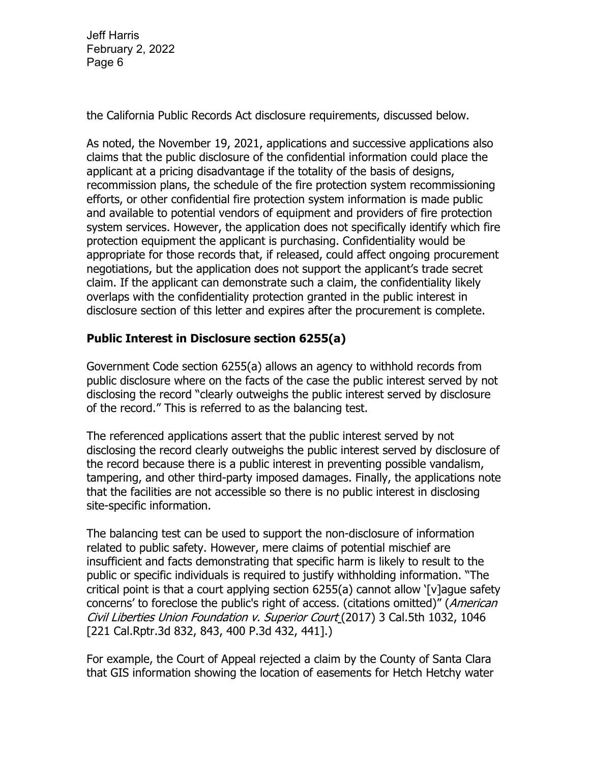the California Public Records Act disclosure requirements, discussed below.

As noted, the November 19, 2021, applications and successive applications also claims that the public disclosure of the confidential information could place the applicant at a pricing disadvantage if the totality of the basis of designs, recommission plans, the schedule of the fire protection system recommissioning efforts, or other confidential fire protection system information is made public and available to potential vendors of equipment and providers of fire protection system services. However, the application does not specifically identify which fire protection equipment the applicant is purchasing. Confidentiality would be appropriate for those records that, if released, could affect ongoing procurement negotiations, but the application does not support the applicant's trade secret claim. If the applicant can demonstrate such a claim, the confidentiality likely overlaps with the confidentiality protection granted in the public interest in disclosure section of this letter and expires after the procurement is complete.

### **Public Interest in Disclosure section 6255(a)**

Government Code section 6255(a) allows an agency to withhold records from public disclosure where on the facts of the case the public interest served by not disclosing the record "clearly outweighs the public interest served by disclosure of the record." This is referred to as the balancing test.

The referenced applications assert that the public interest served by not disclosing the record clearly outweighs the public interest served by disclosure of the record because there is a public interest in preventing possible vandalism, tampering, and other third-party imposed damages. Finally, the applications note that the facilities are not accessible so there is no public interest in disclosing site-specific information.

The balancing test can be used to support the non-disclosure of information related to public safety. However, mere claims of potential mischief are insufficient and facts demonstrating that specific harm is likely to result to the public or specific individuals is required to justify withholding information. "The critical point is that a court applying section 6255(a) cannot allow '[v]ague safety concerns' to foreclose the public's right of access. (citations omitted)" (American Civil Liberties Union Foundation v. Superior Court (2017) 3 Cal.5th 1032, 1046 [221 Cal.Rptr.3d 832, 843, 400 P.3d 432, 441].)

For example, the Court of Appeal rejected a claim by the County of Santa Clara that GIS information showing the location of easements for Hetch Hetchy water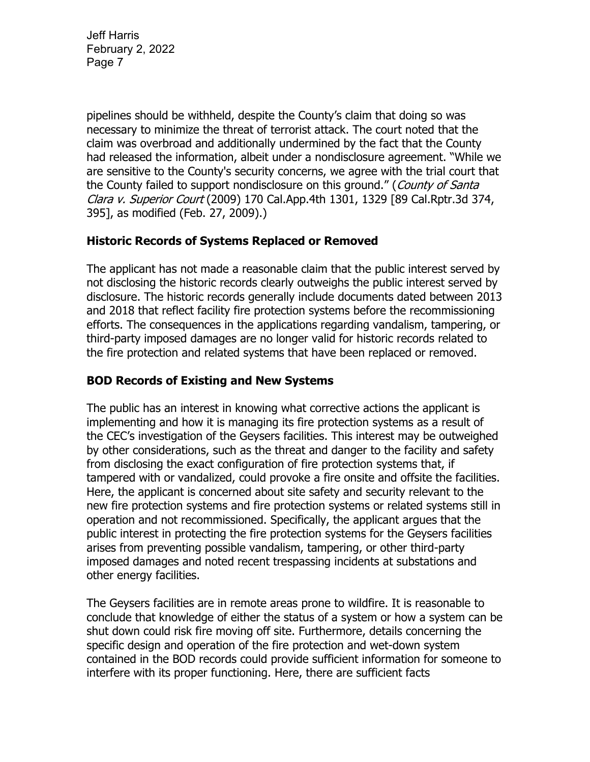pipelines should be withheld, despite the County's claim that doing so was necessary to minimize the threat of terrorist attack. The court noted that the claim was overbroad and additionally undermined by the fact that the County had released the information, albeit under a nondisclosure agreement. "While we are sensitive to the County's security concerns, we agree with the trial court that the County failed to support nondisclosure on this ground." (County of Santa Clara v. Superior Court (2009) 170 Cal.App.4th 1301, 1329 [89 Cal.Rptr.3d 374, 395], as modified (Feb. 27, 2009).)

### **Historic Records of Systems Replaced or Removed**

The applicant has not made a reasonable claim that the public interest served by not disclosing the historic records clearly outweighs the public interest served by disclosure. The historic records generally include documents dated between 2013 and 2018 that reflect facility fire protection systems before the recommissioning efforts. The consequences in the applications regarding vandalism, tampering, or third-party imposed damages are no longer valid for historic records related to the fire protection and related systems that have been replaced or removed.

## **BOD Records of Existing and New Systems**

The public has an interest in knowing what corrective actions the applicant is implementing and how it is managing its fire protection systems as a result of the CEC's investigation of the Geysers facilities. This interest may be outweighed by other considerations, such as the threat and danger to the facility and safety from disclosing the exact configuration of fire protection systems that, if tampered with or vandalized, could provoke a fire onsite and offsite the facilities. Here, the applicant is concerned about site safety and security relevant to the new fire protection systems and fire protection systems or related systems still in operation and not recommissioned. Specifically, the applicant argues that the public interest in protecting the fire protection systems for the Geysers facilities arises from preventing possible vandalism, tampering, or other third-party imposed damages and noted recent trespassing incidents at substations and other energy facilities.

The Geysers facilities are in remote areas prone to wildfire. It is reasonable to conclude that knowledge of either the status of a system or how a system can be shut down could risk fire moving off site. Furthermore, details concerning the specific design and operation of the fire protection and wet-down system contained in the BOD records could provide sufficient information for someone to interfere with its proper functioning. Here, there are sufficient facts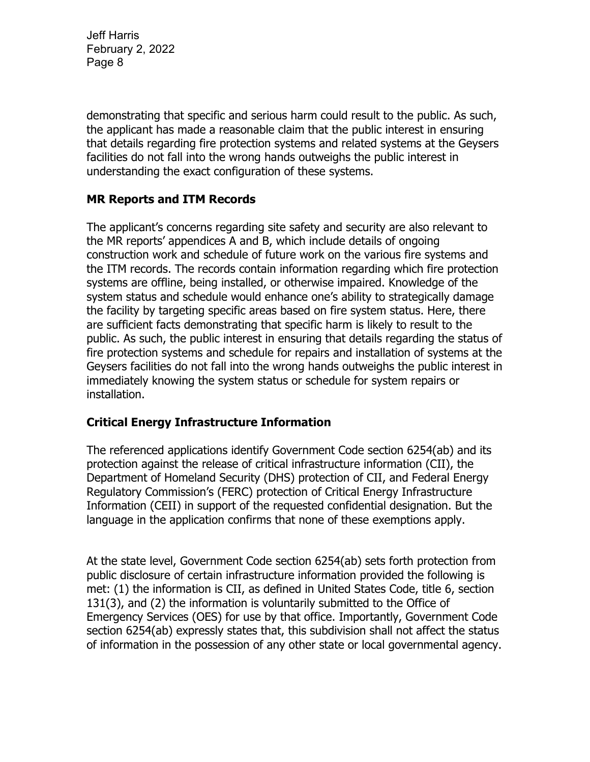demonstrating that specific and serious harm could result to the public. As such, the applicant has made a reasonable claim that the public interest in ensuring that details regarding fire protection systems and related systems at the Geysers facilities do not fall into the wrong hands outweighs the public interest in understanding the exact configuration of these systems.

### **MR Reports and ITM Records**

The applicant's concerns regarding site safety and security are also relevant to the MR reports' appendices A and B, which include details of ongoing construction work and schedule of future work on the various fire systems and the ITM records. The records contain information regarding which fire protection systems are offline, being installed, or otherwise impaired. Knowledge of the system status and schedule would enhance one's ability to strategically damage the facility by targeting specific areas based on fire system status. Here, there are sufficient facts demonstrating that specific harm is likely to result to the public. As such, the public interest in ensuring that details regarding the status of fire protection systems and schedule for repairs and installation of systems at the Geysers facilities do not fall into the wrong hands outweighs the public interest in immediately knowing the system status or schedule for system repairs or installation.

#### **Critical Energy Infrastructure Information**

The referenced applications identify Government Code section 6254(ab) and its protection against the release of critical infrastructure information (CII), the Department of Homeland Security (DHS) protection of CII, and Federal Energy Regulatory Commission's (FERC) protection of Critical Energy Infrastructure Information (CEII) in support of the requested confidential designation. But the language in the application confirms that none of these exemptions apply.

At the state level, Government Code section 6254(ab) sets forth protection from public disclosure of certain infrastructure information provided the following is met: (1) the information is CII, as defined in United States Code, title 6, section 131(3), and (2) the information is voluntarily submitted to the Office of Emergency Services (OES) for use by that office. Importantly, Government Code section 6254(ab) expressly states that, this subdivision shall not affect the status of information in the possession of any other state or local governmental agency.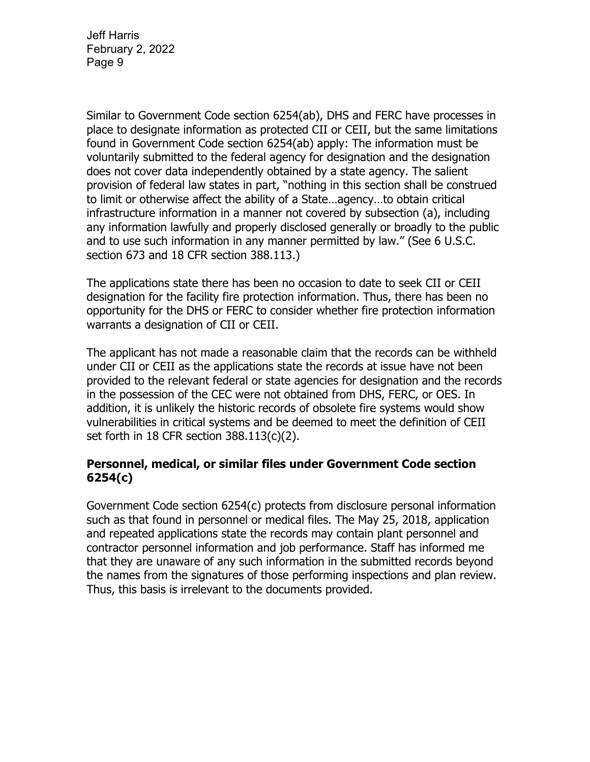Similar to Government Code section 6254(ab), DHS and FERC have processes in place to designate information as protected CII or CEII, but the same limitations found in Government Code section 6254(ab) apply: The information must be voluntarily submitted to the federal agency for designation and the designation does not cover data independently obtained by a state agency. The salient provision of federal law states in part, "nothing in this section shall be construed to limit or otherwise affect the ability of a State…agency…to obtain critical infrastructure information in a manner not covered by subsection (a), including any information lawfully and properly disclosed generally or broadly to the public and to use such information in any manner permitted by law." (See 6 U.S.C. section 673 and 18 CFR section 388.113.)

The applications state there has been no occasion to date to seek CII or CEII designation for the facility fire protection information. Thus, there has been no opportunity for the DHS or FERC to consider whether fire protection information warrants a designation of CII or CEII.

The applicant has not made a reasonable claim that the records can be withheld under CII or CEII as the applications state the records at issue have not been provided to the relevant federal or state agencies for designation and the records in the possession of the CEC were not obtained from DHS, FERC, or OES. In addition, it is unlikely the historic records of obsolete fire systems would show vulnerabilities in critical systems and be deemed to meet the definition of CEII set forth in 18 CFR section 388.113(c)(2).

#### **Personnel, medical, or similar files under Government Code section 6254(c)**

Government Code section 6254(c) protects from disclosure personal information such as that found in personnel or medical files. The May 25, 2018, application and repeated applications state the records may contain plant personnel and contractor personnel information and job performance. Staff has informed me that they are unaware of any such information in the submitted records beyond the names from the signatures of those performing inspections and plan review. Thus, this basis is irrelevant to the documents provided.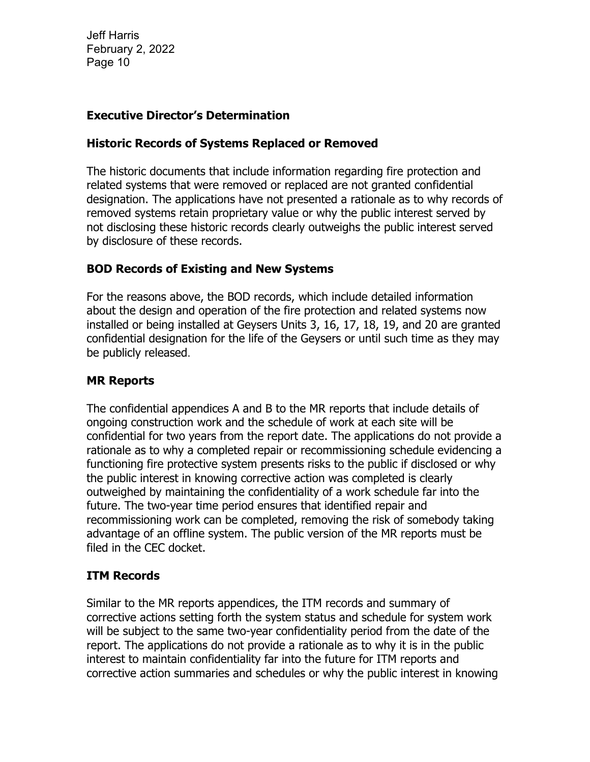### **Executive Director's Determination**

#### **Historic Records of Systems Replaced or Removed**

The historic documents that include information regarding fire protection and related systems that were removed or replaced are not granted confidential designation. The applications have not presented a rationale as to why records of removed systems retain proprietary value or why the public interest served by not disclosing these historic records clearly outweighs the public interest served by disclosure of these records.

### **BOD Records of Existing and New Systems**

For the reasons above, the BOD records, which include detailed information about the design and operation of the fire protection and related systems now installed or being installed at Geysers Units 3, 16, 17, 18, 19, and 20 are granted confidential designation for the life of the Geysers or until such time as they may be publicly released.

### **MR Reports**

The confidential appendices A and B to the MR reports that include details of ongoing construction work and the schedule of work at each site will be confidential for two years from the report date. The applications do not provide a rationale as to why a completed repair or recommissioning schedule evidencing a functioning fire protective system presents risks to the public if disclosed or why the public interest in knowing corrective action was completed is clearly outweighed by maintaining the confidentiality of a work schedule far into the future. The two-year time period ensures that identified repair and recommissioning work can be completed, removing the risk of somebody taking advantage of an offline system. The public version of the MR reports must be filed in the CEC docket.

# **ITM Records**

Similar to the MR reports appendices, the ITM records and summary of corrective actions setting forth the system status and schedule for system work will be subject to the same two-year confidentiality period from the date of the report. The applications do not provide a rationale as to why it is in the public interest to maintain confidentiality far into the future for ITM reports and corrective action summaries and schedules or why the public interest in knowing